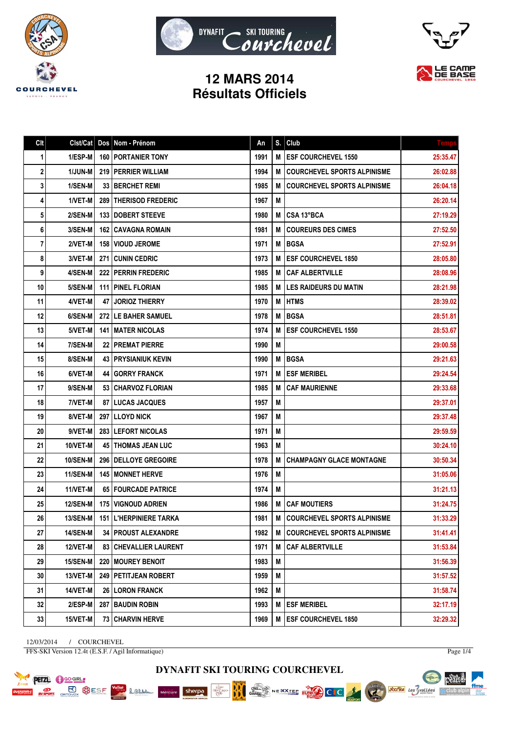





## **12 MARS 2014 Résultats Officiels**

| Clt    | Clst/Cat        | Dos  | Nom - Prénom                    | An   | S. | Club                               | <b>Temps</b> |
|--------|-----------------|------|---------------------------------|------|----|------------------------------------|--------------|
| 1      | 1/ESP-M         |      | <b>160   PORTANIER TONY</b>     | 1991 | M  | <b>ESF COURCHEVEL 1550</b>         | 25:35.47     |
| 2      | 1/JUN-M         |      | 219   PERRIER WILLIAM           | 1994 | M  | <b>COURCHEVEL SPORTS ALPINISME</b> | 26:02.88     |
| 3      | 1/SEN-M         |      | <b>33 I BERCHET REMI</b>        | 1985 | M  | <b>COURCHEVEL SPORTS ALPINISME</b> | 26:04.18     |
| 4      | 1/VET-M         |      | <b>289 ITHERISOD FREDERIC</b>   | 1967 | M  |                                    | 26:20.14     |
| 5      | 2/SEN-M         |      | 133   DOBERT STEEVE             | 1980 | М  | CSA 13°BCA                         | 27:19.29     |
| 6      | 3/SEN-M         |      | <b>162   CAVAGNA ROMAIN</b>     | 1981 | M  | <b>COUREURS DES CIMES</b>          | 27:52.50     |
| 7      | 2/VET-M         |      | 158 VIOUD JEROME                | 1971 | M  | <b>BGSA</b>                        | 27:52.91     |
| 8      | 3/VET-M         |      | <b>271 CUNIN CEDRIC</b>         | 1973 | M  | <b>ESF COURCHEVEL 1850</b>         | 28:05.80     |
| 9      | 4/SEN-M         | 222  | i Perrin Frederic               | 1985 | M  | <b>CAF ALBERTVILLE</b>             | 28:08.96     |
| 10     | 5/SEN-M         |      | <b>111 I PINEL FLORIAN</b>      | 1985 | M  | <b>LES RAIDEURS DU MATIN</b>       | 28:21.98     |
| 11     | 4/VET-M         |      | 47 JORIOZ THIERRY               | 1970 | M  | <b>HTMS</b>                        | 28:39.02     |
| 12     | 6/SEN-M         |      | 272 LE BAHER SAMUEL             | 1978 | M  | <b>BGSA</b>                        | 28:51.81     |
| 13     | 5/VET-M         |      | <b>141   MATER NICOLAS</b>      | 1974 | М  | <b>ESF COURCHEVEL 1550</b>         | 28:53.67     |
| 14     | 7/SEN-M         |      | 22   PREMAT PIERRE              | 1990 | М  |                                    | 29:00.58     |
| 15     | 8/SEN-M         |      | <b>43   PRYSIANIUK KEVIN</b>    | 1990 | M  | <b>BGSA</b>                        | 29:21.63     |
| 16     | 6/VET-M         | 44 I | <b>GORRY FRANCK</b>             | 1971 | M  | <b>ESF MERIBEL</b>                 | 29:24.54     |
| 17     | 9/SEN-M         |      | 53 CHARVOZ FLORIAN              | 1985 | M  | <b>CAF MAURIENNE</b>               | 29:33.68     |
| 18     | 7/VET-M         |      | <b>87 ILUCAS JACQUES</b>        | 1957 | M  |                                    | 29:37.01     |
| 19     | 8/VET-M         |      | <b>297 ILLOYD NICK</b>          | 1967 | M  |                                    | 29:37.48     |
| 20     | 9/VET-M         |      | 283   LEFORT NICOLAS            | 1971 | M  |                                    | 29:59.59     |
| 21     | 10/VET-M        |      | <b>45   THOMAS JEAN LUC</b>     | 1963 | M  |                                    | 30:24.10     |
| 22     | <b>10/SEN-M</b> |      | 296   DELLOYE GREGOIRE          | 1978 | M  | <b>CHAMPAGNY GLACE MONTAGNE</b>    | 30:50.34     |
| 23     | 11/SEN-M        |      | <b>145   MONNET HERVE</b>       | 1976 | M  |                                    | 31:05.06     |
| 24     | 11/VET-M        |      | <b>65 FOURCADE PATRICE</b>      | 1974 | М  |                                    | 31:21.13     |
| 25     | <b>12/SEN-M</b> |      | <b>175   VIGNOUD ADRIEN</b>     | 1986 | M  | <b>CAF MOUTIERS</b>                | 31:24.75     |
| 26     | <b>13/SEN-M</b> |      | <b>151 I L'HERPINIERE TARKA</b> | 1981 | M  | <b>COURCHEVEL SPORTS ALPINISME</b> | 31:33.29     |
| $27\,$ | <b>14/SEN-M</b> |      | 34   PROUST ALEXANDRE           | 1982 | M  | <b>COURCHEVEL SPORTS ALPINISME</b> | 31:41.41     |
| 28     | <b>12/VET-M</b> |      | 83 CHEVALLIER LAURENT           | 1971 | M  | <b>CAF ALBERTVILLE</b>             | 31:53.84     |
| 29     | 15/SEN-M        |      | <b>220 MOUREY BENOIT</b>        | 1983 | M  |                                    | 31:56.39     |
| 30     | 13/VET-M        |      | 249   PETITJEAN ROBERT          | 1959 | M  |                                    | 31:57.52     |
| 31     | <b>14/VET-M</b> |      | 26 LORON FRANCK                 | 1962 | M  |                                    | 31:58.74     |
| 32     | 2/ESP-M         |      | 287 BAUDIN ROBIN                | 1993 | M  | <b>ESF MERIBEL</b>                 | 32:17.19     |
| 33     | 15/VET-M        |      | 73 CHARVIN HERVE                | 1969 | M  | <b>ESF COURCHEVEL 1850</b>         | 32:29.32     |

12/03/2014 / COURCHEVEL FFS-SKI Version 12.4t (E.S.F. / Agil Informatique)

**PETZL C** GO-GIRL

**PORT BUSE OF STRANGE SESP** 

Lamen

Page 1/4

pêart.

 $\mathbb{A}$  club alpin

ffme

Voules des Svallées



NEXXTEE EUROPE CIC

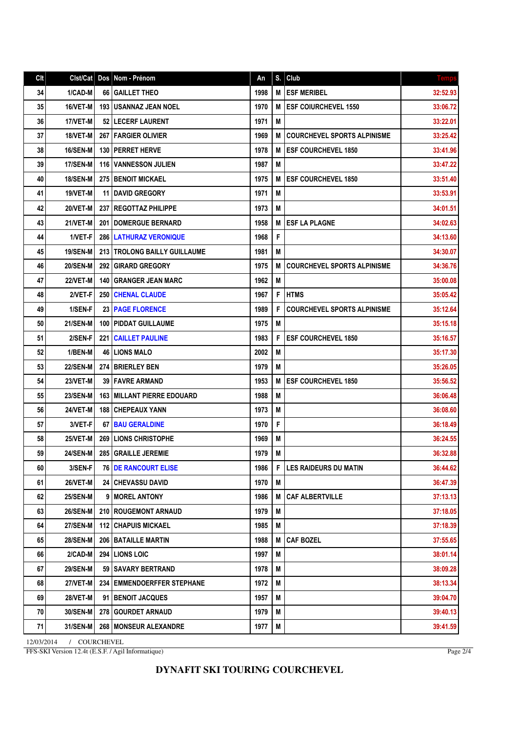| Clt | Clst/Cat        |     | Dos Nom - Prénom                  | An   | S. | $ $ Club                           | <b>Temps</b> |
|-----|-----------------|-----|-----------------------------------|------|----|------------------------------------|--------------|
| 34  | 1/CAD-M         | 66  | <b>GAILLET THEO</b>               | 1998 | M  | <b>ESF MERIBEL</b>                 | 32:52.93     |
| 35  | 16/VET-M        |     | <b>193   USANNAZ JEAN NOEL</b>    | 1970 | M  | <b>ESF COIURCHEVEL 1550</b>        | 33:06.72     |
| 36  | 17/VET-M        |     | 52   LECERF LAURENT               | 1971 | M  |                                    | 33:22.01     |
| 37  | 18/VET-M        |     | <b>267   FARGIER OLIVIER</b>      | 1969 | M  | <b>COURCHEVEL SPORTS ALPINISME</b> | 33:25.42     |
| 38  | <b>16/SEN-M</b> | 130 | <b>PERRET HERVE</b>               | 1978 | M  | <b>ESF COURCHEVEL 1850</b>         | 33:41.96     |
| 39  | <b>17/SEN-M</b> | 116 | VANNESSON JULIEN                  | 1987 | M  |                                    | 33:47.22     |
| 40  | <b>18/SEN-M</b> |     | 275 BENOIT MICKAEL                | 1975 | M  | <b>ESF COURCHEVEL 1850</b>         | 33:51.40     |
| 41  | 19/VET-M        | 11  | <b>DAVID GREGORY</b>              | 1971 | M  |                                    | 33:53.91     |
| 42  | 20/VET-M        | 237 | <b>REGOTTAZ PHILIPPE</b>          | 1973 | M  |                                    | 34:01.51     |
| 43  | 21/VET-M        | 201 | <b>DOMERGUE BERNARD</b>           | 1958 | M  | <b>ESF LA PLAGNE</b>               | 34:02.63     |
| 44  | 1/VET-F         |     | <b>286   LATHURAZ VERONIQUE</b>   | 1968 | F  |                                    | 34:13.60     |
| 45  | 19/SEN-M        |     | 213   TROLONG BAILLY GUILLAUME    | 1981 | M  |                                    | 34:30.07     |
| 46  | <b>20/SEN-M</b> | 292 | <b>GIRARD GREGORY</b>             | 1975 | M  | <b>COURCHEVEL SPORTS ALPINISME</b> | 34:36.76     |
| 47  | <b>22/VET-M</b> | 140 | <b>GRANGER JEAN MARC</b>          | 1962 | M  |                                    | 35:00.08     |
| 48  | 2/VET-F         | 250 | <b>CHENAL CLAUDE</b>              | 1967 | F  | <b>HTMS</b>                        | 35:05.42     |
| 49  | 1/SEN-F         |     | 23   PAGE FLORENCE                | 1989 | F  | <b>COURCHEVEL SPORTS ALPINISME</b> | 35:12.64     |
| 50  | <b>21/SEN-M</b> | 100 | I PIDDAT GUILLAUME                | 1975 | M  |                                    | 35:15.18     |
| 51  | 2/SEN-F         | 221 | <b>CAILLET PAULINE</b>            | 1983 | F  | <b>ESF COURCHEVEL 1850</b>         | 35:16.57     |
| 52  | 1/BEN-M         |     | <b>46   LIONS MALO</b>            | 2002 | M  |                                    | 35:17.30     |
| 53  | <b>22/SEN-M</b> |     | 274 BRIERLEY BEN                  | 1979 | M  |                                    | 35:26.05     |
| 54  | <b>23/VET-M</b> |     | <b>39   FAVRE ARMAND</b>          | 1953 | M  | <b>ESF COURCHEVEL 1850</b>         | 35:56.52     |
| 55  | <b>23/SEN-M</b> |     | <b>163 MILLANT PIERRE EDOUARD</b> | 1988 | M  |                                    | 36:06.48     |
| 56  | 24/VET-M        | 188 | CHEPEAUX YANN                     | 1973 | M  |                                    | 36:08.60     |
| 57  | 3/VET-F         |     | 67 BAU GERALDINE                  | 1970 | F  |                                    | 36:18.49     |
| 58  | 25/VET-M        | 269 | <b>LIONS CHRISTOPHE</b>           | 1969 | M  |                                    | 36:24.55     |
| 59  | 24/SEN-M        | 285 | <b>GRAILLE JEREMIE</b>            | 1979 | M  |                                    | 36:32.88     |
| 60  | 3/SEN-F         |     | <b>76 DE RANCOURT ELISE</b>       | 1986 | F  | <b>LES RAIDEURS DU MATIN</b>       | 36:44.62     |
| 61  | 26/VET-M        |     | 24 CHEVASSU DAVID                 | 1970 | M  |                                    | 36:47.39     |
| 62  | <b>25/SEN-M</b> |     | 9 MOREL ANTONY                    | 1986 | M  | <b>CAF ALBERTVILLE</b>             | 37:13.13     |
| 63  | 26/SEN-M        |     | 210   ROUGEMONT ARNAUD            | 1979 | M  |                                    | 37:18.05     |
| 64  | <b>27/SEN-M</b> |     | <b>112   CHAPUIS MICKAEL</b>      | 1985 | M  |                                    | 37:18.39     |
| 65  | 28/SEN-M        |     | 206 BATAILLE MARTIN               | 1988 | M  | <b>CAF BOZEL</b>                   | 37:55.65     |
| 66  | 2/CAD-M         |     | 294   LIONS LOIC                  | 1997 | M  |                                    | 38:01.14     |
| 67  | <b>29/SEN-M</b> |     | 59 SAVARY BERTRAND                | 1978 | M  |                                    | 38:09.28     |
| 68  | 27/VET-M        |     | 234   EMMENDOERFFER STEPHANE      | 1972 | M  |                                    | 38:13.34     |
| 69  | <b>28/VET-M</b> |     | 91   BENOIT JACQUES               | 1957 | M  |                                    | 39:04.70     |
| 70  | 30/SEN-M        |     | 278 GOURDET ARNAUD                | 1979 | M  |                                    | 39:40.13     |
| 71  | 31/SEN-M        |     | 268   MONSEUR ALEXANDRE           | 1977 | M  |                                    | 39:41.59     |

12/03/2014 / COURCHEVEL FFS-SKI Version 12.4t (E.S.F. / Agil Informatique)

Page 2/4

## **DYNAFIT SKI TOURING COURCHEVEL**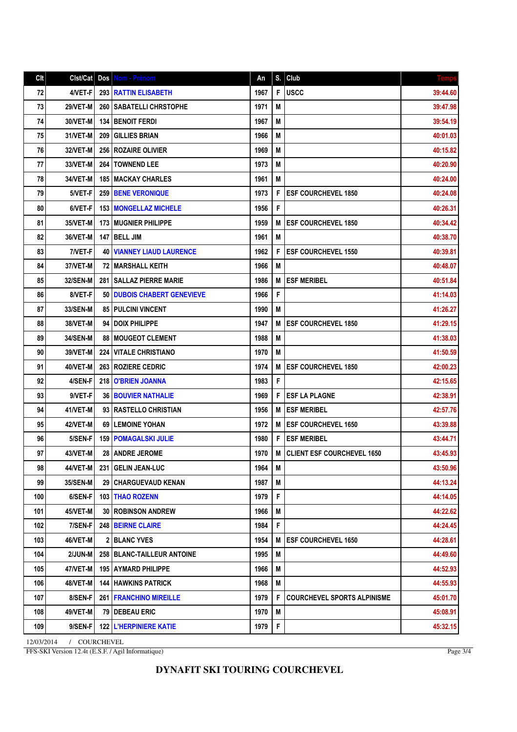## **DYNAFIT SKI TOURING COURCHEVEL**

12/03/2014 / COURCHEVEL FFS-SKI Version 12.4t (E.S.F. / Agil Informatique)

| Clt | Clst/Cat        | Dos   Nom - Prénom                   | An   | S.          | Club                               | <b>Temps</b> |
|-----|-----------------|--------------------------------------|------|-------------|------------------------------------|--------------|
| 72  | 4/VET-F         | <b>293 RATTIN ELISABETH</b>          | 1967 | F           | <b>USCC</b>                        | 39:44.60     |
| 73  | <b>29/VET-M</b> | <b>260   SABATELLI CHRSTOPHE</b>     | 1971 | M           |                                    | 39:47.98     |
| 74  | 30/VET-M        | <b>134   BENOIT FERDI</b>            | 1967 | M           |                                    | 39:54.19     |
| 75  | 31/VET-M        | <b>209 GILLIES BRIAN</b>             | 1966 | M           |                                    | 40:01.03     |
| 76  | 32/VET-M        | <b>256   ROZAIRE OLIVIER</b>         | 1969 | M           |                                    | 40:15.82     |
| 77  | 33/VET-M        | <b>264 I TOWNEND LEE</b>             | 1973 | M           |                                    | 40:20.90     |
| 78  | 34/VET-M        | <b>185   MACKAY CHARLES</b>          | 1961 | M           |                                    | 40:24.00     |
| 79  | 5/VET-F         | <b>259   BENE VERONIQUE</b>          | 1973 | F           | <b>ESF COURCHEVEL 1850</b>         | 40:24.08     |
| 80  | 6/VET-F         | <b>153   MONGELLAZ MICHELE</b>       | 1956 | F           |                                    | 40:26.31     |
| 81  | 35/VET-M        | <b>173   MUGNIER PHILIPPE</b>        | 1959 | M           | <b>ESF COURCHEVEL 1850</b>         | 40:34.42     |
| 82  | 36/VET-M        | 147 I BELL JIM                       | 1961 | M           |                                    | 40:38.70     |
| 83  | 7/VET-F         | <b>40   VIANNEY LIAUD LAURENCE</b>   | 1962 | F           | <b>ESF COURCHEVEL 1550</b>         | 40:39.81     |
| 84  | 37/VET-M        | <b>72   MARSHALL KEITH</b>           | 1966 | M           |                                    | 40:48.07     |
| 85  | 32/SEN-M        | <b>281 ISALLAZ PIERRE MARIE</b>      | 1986 | M           | <b>ESF MERIBEL</b>                 | 40:51.84     |
| 86  | 8/VET-F         | <b>50   DUBOIS CHABERT GENEVIEVE</b> | 1966 | F           |                                    | 41:14.03     |
| 87  | 33/SEN-M        | <b>85 I PULCINI VINCENT</b>          | 1990 | M           |                                    | 41:26.27     |
| 88  | 38/VET-M        | 94   DOIX PHILIPPE                   | 1947 | M           | <b>ESF COURCHEVEL 1850</b>         | 41:29.15     |
| 89  | 34/SEN-M        | <b>88   MOUGEOT CLEMENT</b>          | 1988 | M           |                                    | 41:38.03     |
| 90  | 39/VET-M        | <b>224   VITALE CHRISTIANO</b>       | 1970 | M           |                                    | 41:50.59     |
| 91  | 40/VET-M        | <b>263   ROZIERE CEDRIC</b>          | 1974 | M           | <b>ESF COURCHEVEL 1850</b>         | 42:00.23     |
| 92  | 4/SEN-F         | 218   O'BRIEN JOANNA                 | 1983 | F           |                                    | 42:15.65     |
| 93  | 9/VET-F         | <b>36   BOUVIER NATHALIE</b>         | 1969 | F           | <b>ESF LA PLAGNE</b>               | 42:38.91     |
| 94  | 41/VET-M        | 93 RASTELLO CHRISTIAN                | 1956 | M           | <b>ESF MERIBEL</b>                 | 42:57.76     |
| 95  | 42/VET-M        | 69   LEMOINE YOHAN                   | 1972 | M           | <b>ESF COURCHEVEL 1650</b>         | 43:39.88     |
| 96  | 5/SEN-F         | <b>159   POMAGALSKI JULIE</b>        | 1980 | F           | <b>ESF MERIBEL</b>                 | 43:44.71     |
| 97  | 43/VET-M        | 28 ANDRE JEROME                      | 1970 | М           | <b>CLIENT ESF COURCHEVEL 1650</b>  | 43:45.93     |
| 98  | 44/VET-M        | 231   GELIN JEAN-LUC                 | 1964 | M           |                                    | 43:50.96     |
| 99  | <b>35/SEN-M</b> | <b>29 CHARGUEVAUD KENAN</b>          | 1987 | M           |                                    | 44:13.24     |
| 100 | 6/SEN-F         | <b>103 THAO ROZENN</b>               | 1979 | F           |                                    | 44:14.05     |
| 101 | 45/VET-M        | <b>30   ROBINSON ANDREW</b>          | 1966 | M           |                                    | 44:22.62     |
| 102 | 7/SEN-F         | 248 BEIRNE CLAIRE                    | 1984 | F           |                                    | 44:24.45     |
| 103 | 46/VET-M        | 2 BLANC YVES                         | 1954 | M           | <b>ESF COURCHEVEL 1650</b>         | 44:28.61     |
| 104 | $2/JUN-M$       | 258   BLANC-TAILLEUR ANTOINE         | 1995 | M           |                                    | 44:49.60     |
| 105 | 47/VET-M        | 195 AYMARD PHILIPPE                  | 1966 | M           |                                    | 44:52.93     |
| 106 | 48/VET-M        | <b>144 HAWKINS PATRICK</b>           | 1968 | M           |                                    | 44:55.93     |
| 107 | 8/SEN-F         | <b>261 FRANCHINO MIREILLE</b>        | 1979 | F           | <b>COURCHEVEL SPORTS ALPINISME</b> | 45:01.70     |
| 108 | 49/VET-M        | 79 DEBEAU ERIC                       | 1970 | M           |                                    | 45:08.91     |
| 109 | 9/SEN-F         | <b>122   L'HERPINIERE KATIE</b>      | 1979 | $\mathsf F$ |                                    | 45:32.15     |

Page 3/4